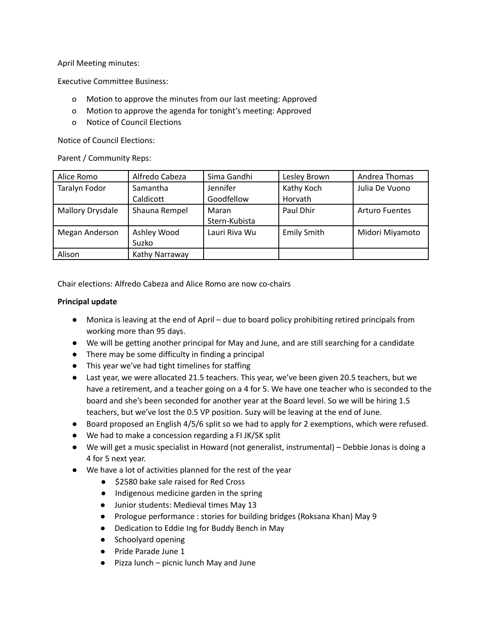April Meeting minutes:

Executive Committee Business:

- o Motion to approve the minutes from our last meeting: Approved
- o Motion to approve the agenda for tonight's meeting: Approved
- o Notice of Council Elections

Notice of Council Elections:

Parent / Community Reps:

| Alice Romo       | Alfredo Cabeza | Sima Gandhi   | Lesley Brown       | Andrea Thomas         |
|------------------|----------------|---------------|--------------------|-----------------------|
| Taralyn Fodor    | Samantha       | Jennifer      | Kathy Koch         | Julia De Vuono        |
|                  | Caldicott      | Goodfellow    | Horvath            |                       |
| Mallory Drysdale | Shauna Rempel  | Maran         | Paul Dhir          | <b>Arturo Fuentes</b> |
|                  |                | Stern-Kubista |                    |                       |
| Megan Anderson   | Ashley Wood    | Lauri Riva Wu | <b>Emily Smith</b> | Midori Miyamoto       |
|                  | Suzko          |               |                    |                       |
| Alison           | Kathy Narraway |               |                    |                       |

Chair elections: Alfredo Cabeza and Alice Romo are now co-chairs

## **Principal update**

- Monica is leaving at the end of April due to board policy prohibiting retired principals from working more than 95 days.
- We will be getting another principal for May and June, and are still searching for a candidate
- There may be some difficulty in finding a principal
- This year we've had tight timelines for staffing
- Last year, we were allocated 21.5 teachers. This year, we've been given 20.5 teachers, but we have a retirement, and a teacher going on a 4 for 5. We have one teacher who is seconded to the board and she's been seconded for another year at the Board level. So we will be hiring 1.5 teachers, but we've lost the 0.5 VP position. Suzy will be leaving at the end of June.
- Board proposed an English 4/5/6 split so we had to apply for 2 exemptions, which were refused.
- We had to make a concession regarding a FI JK/SK split
- We will get a music specialist in Howard (not generalist, instrumental) Debbie Jonas is doing a 4 for 5 next year.
- We have a lot of activities planned for the rest of the year
	- \$2580 bake sale raised for Red Cross
	- Indigenous medicine garden in the spring
	- Junior students: Medieval times May 13
	- Prologue performance : stories for building bridges (Roksana Khan) May 9
	- Dedication to Eddie Ing for Buddy Bench in May
	- Schoolyard opening
	- Pride Parade June 1
	- Pizza lunch picnic lunch May and June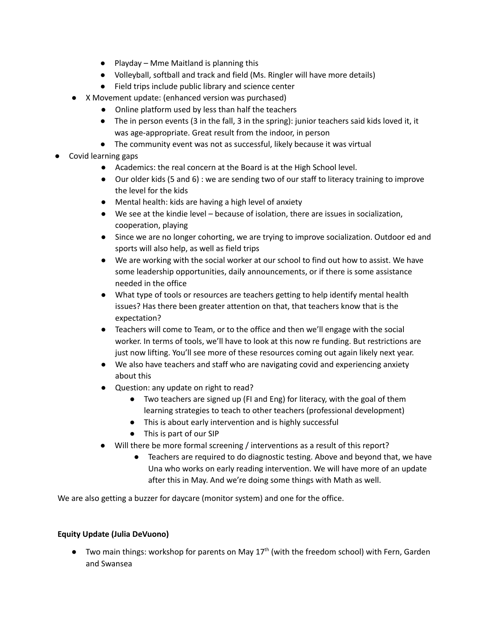- $\bullet$  Playday Mme Maitland is planning this
- Volleyball, softball and track and field (Ms. Ringler will have more details)
- Field trips include public library and science center
- X Movement update: (enhanced version was purchased)
	- Online platform used by less than half the teachers
	- The in person events (3 in the fall, 3 in the spring): junior teachers said kids loved it, it was age-appropriate. Great result from the indoor, in person
	- The community event was not as successful, likely because it was virtual
- Covid learning gaps
	- Academics: the real concern at the Board is at the High School level.
	- Our older kids (5 and 6) : we are sending two of our staff to literacy training to improve the level for the kids
	- Mental health: kids are having a high level of anxiety
	- We see at the kindie level because of isolation, there are issues in socialization, cooperation, playing
	- Since we are no longer cohorting, we are trying to improve socialization. Outdoor ed and sports will also help, as well as field trips
	- We are working with the social worker at our school to find out how to assist. We have some leadership opportunities, daily announcements, or if there is some assistance needed in the office
	- What type of tools or resources are teachers getting to help identify mental health issues? Has there been greater attention on that, that teachers know that is the expectation?
	- Teachers will come to Team, or to the office and then we'll engage with the social worker. In terms of tools, we'll have to look at this now re funding. But restrictions are just now lifting. You'll see more of these resources coming out again likely next year.
	- We also have teachers and staff who are navigating covid and experiencing anxiety about this
	- Question: any update on right to read?
		- Two teachers are signed up (FI and Eng) for literacy, with the goal of them learning strategies to teach to other teachers (professional development)
		- This is about early intervention and is highly successful
		- This is part of our SIP
	- Will there be more formal screening / interventions as a result of this report?
		- Teachers are required to do diagnostic testing. Above and beyond that, we have Una who works on early reading intervention. We will have more of an update after this in May. And we're doing some things with Math as well.

We are also getting a buzzer for daycare (monitor system) and one for the office.

## **Equity Update (Julia DeVuono)**

● Two main things: workshop for parents on May 17<sup>th</sup> (with the freedom school) with Fern, Garden and Swansea